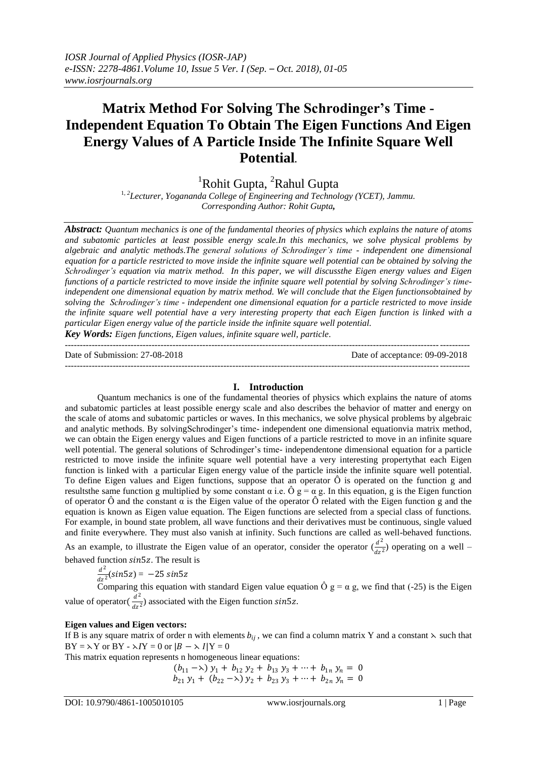# **Matrix Method For Solving The Schrodinger's Time - Independent Equation To Obtain The Eigen Functions And Eigen Energy Values of A Particle Inside The Infinite Square Well Potential.**

<sup>1</sup>Rohit Gupta, <sup>2</sup>Rahul Gupta

<sup>1, 2</sup>Lecturer, Yogananda College of Engineering and Technology (YCET), Jammu. *Corresponding Author: Rohit Gupta,*

*Abstract: Quantum mechanics is one of the fundamental theories of physics which explains the nature of atoms and subatomic particles at least possible energy scale.In this mechanics, we solve physical problems by algebraic and analytic methods.The general solutions of Schrodinger's time - independent one dimensional equation for a particle restricted to move inside the infinite square well potential can be obtained by solving the Schrodinger's equation via matrix method. In this paper, we will discussthe Eigen energy values and Eigen functions of a particle restricted to move inside the infinite square well potential by solving Schrodinger's timeindependent one dimensional equation by matrix method. We will conclude that the Eigen functionsobtained by solving the Schrodinger's time - independent one dimensional equation for a particle restricted to move inside the infinite square well potential have a very interesting property that each Eigen function is linked with a particular Eigen energy value of the particle inside the infinite square well potential.* 

*Key Words: Eigen functions, Eigen values, infinite square well, particle*.

Date of Submission: 27-08-2018 Date of acceptance: 09-09-2018

---------------------------------------------------------------------------------------------------------------------------------------

---------------------------------------------------------------------------------------------------------------------------------------

## **I. Introduction**

Quantum mechanics is one of the fundamental theories of physics which explains the nature of atoms and subatomic particles at least possible energy scale and also describes the behavior of matter and energy on the scale of atoms and subatomic particles or waves. In this mechanics, we solve physical problems by algebraic and analytic methods. By solvingSchrodinger's time- independent one dimensional equationvia matrix method, we can obtain the Eigen energy values and Eigen functions of a particle restricted to move in an infinite square well potential. The general solutions of Schrodinger's time- independentone dimensional equation for a particle restricted to move inside the infinite square well potential have a very interesting propertythat each Eigen function is linked with a particular Eigen energy value of the particle inside the infinite square well potential. To define Eigen values and Eigen functions, suppose that an operator  $\hat{O}$  is operated on the function g and resultsthe same function g multiplied by some constant  $\alpha$  i.e.  $\hat{O}$  g =  $\alpha$  g. In this equation, g is the Eigen function of operator Ô and the constant α is the Eigen value of the operator Ô related with the Eigen function g and the equation is known as Eigen value equation. The Eigen functions are selected from a special class of functions. For example, in bound state problem, all wave functions and their derivatives must be continuous, single valued and finite everywhere. They must also vanish at infinity. Such functions are called as well-behaved functions.

As an example, to illustrate the Eigen value of an operator, consider the operator  $\left(\frac{d^2}{dx^2}\right)$  $\frac{u}{dz^2}$ ) operating on a well – behaved function  $sin5z$ . The result is

 $d^2$  $\frac{u}{dz^2}(\sin 5z) = -25 \sin 5z$ 

Comparing this equation with standard Eigen value equation  $\hat{O}$  g =  $\alpha$  g, we find that (-25) is the Eigen value of operator( $\frac{u}{dz^2}$ ) associated with the Eigen function  $sin5z$ .  $d^2$ 

## **Eigen values and Eigen vectors:**

If B is any square matrix of order n with elements  $b_{ij}$ , we can find a column matrix Y and a constant  $\lambda$  such that  $BY = \lambda Y$  or  $BY - \lambda IY = 0$  or  $|B - \lambda I|Y = 0$ 

This matrix equation represents n homogeneous linear equations:

 $(b_{11} -\lambda) y_1 + b_{12} y_2 + b_{13} y_3 + \cdots + b_{1n} y_n = 0$  $b_{21}$   $y_1$  +  $(b_{22} - \lambda)$   $y_2$  +  $b_{23}$   $y_3$  +  $\cdots$  +  $b_{2n}$   $y_n$  = 0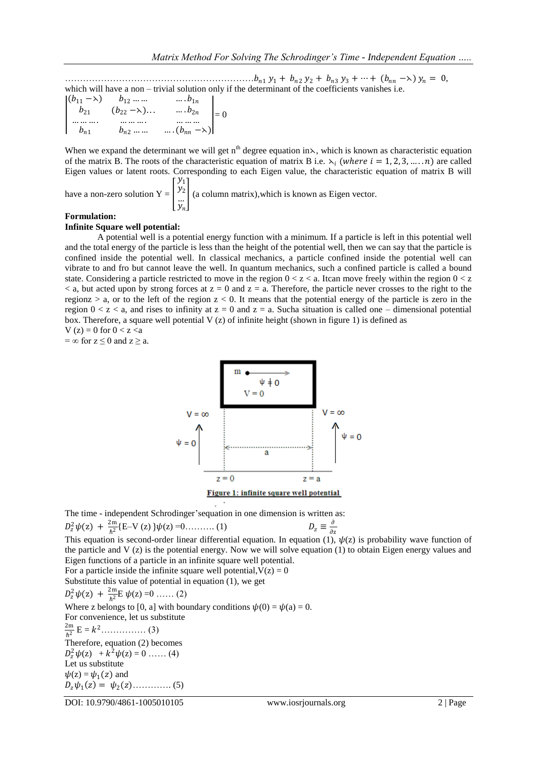………………………………………………………<sup>1</sup> <sup>1</sup> + <sup>2</sup> <sup>2</sup> + <sup>3</sup> <sup>3</sup> + ⋯ + ( −⋋) = 0, which will have a non – trivial solution only if the determinant of the coefficients vanishes i.e.

$$
\begin{vmatrix} (b_{11} - \lambda) & b_{12} \dots \dots & b_{1n} \\ b_{21} & (b_{22} - \lambda) \dots & b_{2n} \\ \dots \dots & \dots & \dots \\ b_{n1} & b_{n2} \dots \dots & b_{nn} \end{vmatrix} = 0
$$

 $y_2$  $\ddot{y}_n$ 

When we expand the determinant we will get n<sup>th</sup> degree equation in  $\lambda$ , which is known as characteristic equation of the matrix B. The roots of the characteristic equation of matrix B i.e.  $\lambda_i$  (where  $i = 1, 2, 3, \dots, n$ ) are called Eigen values or latent roots. Corresponding to each Eigen value, the characteristic equation of matrix B will  $y_1$ 

have a non-zero solution  $Y =$ 

(a column matrix),which is known as Eigen vector.

#### **Formulation:**

#### **Infinite Square well potential:**

A potential well is a potential energy function with a minimum. If a particle is left in this potential well and the total energy of the particle is less than the height of the potential well, then we can say that the particle is confined inside the potential well. In classical mechanics, a particle confined inside the potential well can vibrate to and fro but cannot leave the well. In quantum mechanics, such a confined particle is called a bound state. Considering a particle restricted to move in the region  $0 < z < a$ . It can move freely within the region  $0 < z$  $\lt$  a, but acted upon by strong forces at  $z = 0$  and  $z = a$ . Therefore, the particle never crosses to the right to the regionz  $> a$ , or to the left of the region  $z < 0$ . It means that the potential energy of the particle is zero in the region  $0 < z < a$ , and rises to infinity at  $z = 0$  and  $z = a$ . Sucha situation is called one – dimensional potential box. Therefore, a square well potential  $V(z)$  of infinite height (shown in figure 1) is defined as V (z) = 0 for  $0 < z < a$ 

 $=\infty$  for  $z \le 0$  and  $z \ge a$ .



The time - independent Schrodinger'sequation in one dimension is written as:

$$
D_z^2 \psi(z) + \frac{2m}{\hbar^2} \{E - V(z)\} \psi(z) = 0 \dots \dots \dots (1) \qquad D_z \equiv
$$

This equation is second-order linear differential equation. In equation (1),  $\psi(z)$  is probability wave function of ∂z the particle and V  $(z)$  is the potential energy. Now we will solve equation (1) to obtain Eigen energy values and Eigen functions of a particle in an infinite square well potential.

For a particle inside the infinite square well potential,  $V(z) = 0$ 

Substitute this value of potential in equation (1), we get

$$
D_z^2 \psi(z) + \frac{2m}{\hbar^2} E \psi(z) = 0 \dots (2)
$$

Where z belongs to [0, a] with boundary conditions  $\psi(0) = \psi(a) = 0$ .

For convenience, let us substitute 2m  $\frac{2m}{\hbar^2} E = k^2 \dots (3)$ Therefore, equation (2) becomes  $D_z^2 \psi(z) + k^2 \psi(z) = 0 \dots (4)$ Let us substitute  $\psi(z) = \psi_1(z)$  and  $D_z \psi_1(z) = \psi_2(z) \dots \dots \dots \dots (5)$ 

DOI: 10.9790/4861-1005010105 www.iosrjournals.org 2 | Page

∂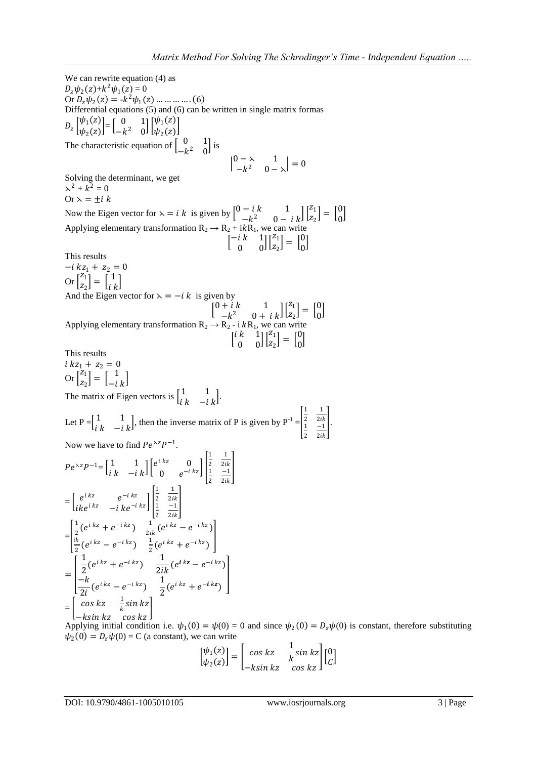We can rewrite equation (4) as  $D_z \psi_2(z) + k^2 \psi_1(z) = 0$ Or  $D_z \psi_2(z) = -k^2 \psi_1(z) \dots \dots \dots \dots (6)$ Differential equations (5) and (6) can be written in single matrix formas  $D_{z} \left[\psi_{1}(z)\right]$  $\begin{bmatrix} \psi_1(z) \\ \psi_2(z) \end{bmatrix} = \begin{bmatrix} 0 & 1 \\ -k^2 & 0 \end{bmatrix}$  $\begin{bmatrix} 0 & 1 \\ -k^2 & 0 \end{bmatrix} \begin{bmatrix} \psi_1(z) \\ \psi_2(z) \end{bmatrix}$  $\frac{\varphi_1(z)}{\psi_2(z)}$ The characteristic equation of  $\begin{bmatrix} 0 & 1 \\ 0 & 2 \end{bmatrix}$  $\begin{bmatrix} 0 & 1 \\ -k^2 & 0 \end{bmatrix}$  is  $\begin{vmatrix} 0 & -\lambda & 1 \\ 1 & -\lambda & 0 \end{vmatrix}$  $\begin{vmatrix} 2 & 1 \\ -k^2 & 0 - \lambda \end{vmatrix} = 0$ Solving the determinant, we get  $\lambda^2 + k^2 = 0$ Or  $\lambda = \pm i k$ Now the Eigen vector for  $\lambda = i k$  is given by  $\begin{bmatrix} 0 - i k & 1 \ 1 - i k & 0 \end{bmatrix}$  $\begin{bmatrix} -i & k & 1 \\ -k^2 & 0 & -i & k \end{bmatrix} \begin{bmatrix} z_1 \\ z_2 \end{bmatrix}$  $\begin{bmatrix} z_1 \\ z_2 \end{bmatrix} = \begin{bmatrix} 0 \\ 0 \end{bmatrix}$  $\int_{0}^{0}$ Applying elementary transformation  $R_2 \rightarrow R_2 + i k R_1$ , we can write  $\begin{bmatrix} -i & k & 1 \\ 0 & 0 \end{bmatrix}$  $\begin{bmatrix} i & k & 1 \\ 0 & 0 \end{bmatrix} \begin{bmatrix} z_1 \\ z_2 \end{bmatrix}$  $\begin{bmatrix} z_1 \\ z_2 \end{bmatrix} = \begin{bmatrix} 0 \\ 0 \end{bmatrix}$  $\int_{0}^{0}$ This results  $-i k z_1 + z_2 = 0$ Or  $\begin{bmatrix} z_1 \\ z_2 \end{bmatrix}$  $\begin{bmatrix} z_1 \\ z_2 \end{bmatrix} = \begin{bmatrix} 1 \\ i \end{bmatrix}$  $\left[\begin{array}{c} 1 \\ i \end{array}\right]$ And the Eigen vector for  $\lambda = -i k$  is given by  $\begin{bmatrix} 0+i & k & 1 \\ 1-i & 0 & 1 \end{bmatrix}$  $\begin{bmatrix} + i k & 1 \\ -k^2 & 0 + i k \end{bmatrix} \begin{bmatrix} z_1 \\ z_2 \end{bmatrix}$  $\begin{bmatrix} z_1 \\ z_2 \end{bmatrix} = \begin{bmatrix} 0 \\ 0 \end{bmatrix}$  $\int_{0}^{0}$ Applying elementary transformation  $R_2 \rightarrow R_2$  - i  $kR_1$ , we can write  $\begin{bmatrix} i & k & 1 \\ 0 & 0 \end{bmatrix}$  $\begin{bmatrix} k & 1 \\ 0 & 0 \end{bmatrix} \begin{bmatrix} z_1 \\ z_2 \end{bmatrix}$  $\begin{bmatrix} z_1 \\ z_2 \end{bmatrix} = \begin{bmatrix} 0 \\ 0 \end{bmatrix}$  $\int_{0}^{0}$ This results  $i k z_1 + z_2 = 0$ Or  $\int_{z_1}^{z_1}$  $\begin{bmatrix} z_1 \\ z_2 \end{bmatrix} = \begin{bmatrix} 1 \\ -i \end{bmatrix}$  $\begin{bmatrix} 1 \\ -i \end{bmatrix}$ The matrix of Eigen vectors is  $\begin{bmatrix} 1 & 1 \\ 1 & 1 \end{bmatrix}$  $\begin{bmatrix} 1 & 1 \\ i & k \end{bmatrix}$ Let  $P = \begin{bmatrix} 1 & 1 \\ 1 & 1 \end{bmatrix}$  $\begin{bmatrix} 1 & 1 \\ i & -i \end{bmatrix}$ , then the inverse matrix of P is given by P<sup>-1</sup> = 1 2 1 2 1 2 −1  $2ik$  . Now we have to find  $Pe^{\lambda z}P^{-1}$ .  $Pe^{\lambda z}P^{-1} = \begin{bmatrix} 1 & 1 \ \frac{i}{2} & \frac{i}{2} \end{bmatrix}$  $\begin{bmatrix} 1 & 1 \ i \ k & -i \ k \end{bmatrix} \begin{bmatrix} e^{i k z} & 0 \ 0 & e^{-i k} \end{bmatrix}$ 0  $e^{-ikz}$ 1 2 1 2 1 2 −1  $2ik$  $\overline{\phantom{a}}$  $=\begin{bmatrix} e^{i k z} & e^{-i k z} \end{bmatrix}$  $\begin{bmatrix} e & e \\ ike^{i kz} & -i ke^{-i kz} \end{bmatrix}$ 1 2 1 2 1 2 −1 2ik  $\overline{\phantom{a}}$ = 1  $\frac{1}{2}(e^{i k z} + e^{-i k z})$   $\frac{1}{2i}$  $\frac{1}{2ik} (e^{i k z} - e^{-i k z})$ ik  $\frac{1}{2}(e^{i k z} - e^{-i k z})$   $\frac{1}{2}$  $\frac{1}{2}(e^{i k z} + e^{-i k z})$  $\overline{\phantom{a}}$  $=$   $\overline{ }$ 1  $\frac{1}{2}(e^{i k z} + e^{-i k z})$   $\frac{1}{2i}$  $\frac{1}{2ik}(e^{ikz}-e^{-ikz})$  $-k$  $\frac{-k}{2i}(e^{i k z} - e^{-i k z}) \frac{1}{2}$  $\frac{1}{2}(e^{i k z}+e^{-i k z})$ I  $=\begin{bmatrix} \cos kz & \frac{1}{k} \end{bmatrix}$  $\frac{1}{k}$ sin kz −ksin kz ⊂os kz  $\overline{\phantom{a}}$ 

Applying initial condition i.e.  $\psi_1(0) = \psi(0) = 0$  and since  $\psi_2(0) = D_z \psi(0)$  is constant, therefore substituting  $\psi_2(0) = D_z \psi(0) = C$  (a constant), we can write

$$
\begin{bmatrix} \psi_1(z) \\ \psi_2(z) \end{bmatrix} = \begin{bmatrix} \cos kz & \frac{1}{k} \sin kz \\ -k \sin kz & \cos kz \end{bmatrix} \begin{bmatrix} 0 \\ C \end{bmatrix}
$$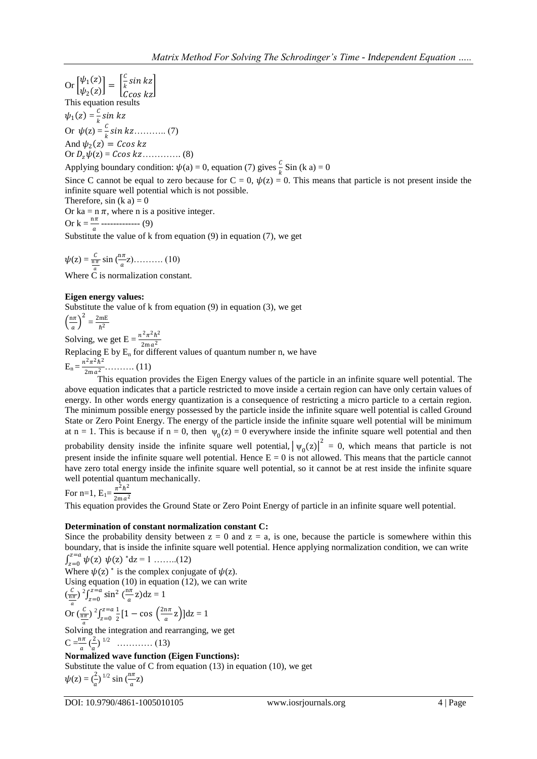Or  $\left[\frac{\psi_1(z)}{\psi_1(z)}\right]$  $\begin{bmatrix} \psi_1(z) \\ \psi_2(z) \end{bmatrix} =$  $\mathcal{C}_{0}^{(n)}$  $\frac{S}{k}$ sin kz Ccos kz  $\overline{\phantom{a}}$ This equation results  $\psi_1(z) = \frac{c}{k}$  $\frac{c}{k}$ sin kz Or (z) = ……….. (7) And  $\psi_2(z) = \text{C} \cos kz$ Or (z) = …………. (8)

Applying boundary condition:  $\psi(a) = 0$ , equation (7) gives  $\frac{c}{k}$  Sin (k a) = 0

Since C cannot be equal to zero because for  $C = 0$ ,  $\psi(z) = 0$ . This means that particle is not present inside the infinite square well potential which is not possible.

Therefore,  $sin (k a) = 0$ 

Or ka =  $n \pi$ , where n is a positive integer. Or  $k = \frac{n\pi}{a}$  ------------- (9)

Substitute the value of k from equation (9) in equation (7), we get

 $\psi(z) = \frac{c}{\frac{n\pi}{a}}$  $\sin\left(\frac{n\pi}{a}z\right)$ .......... (10)

Where C is normalization constant.

# **Eigen energy values:**

Substitute the value of k from equation (9) in equation (3), we get 2

$$
\left(\frac{n\pi}{a}\right)^2 = \frac{2mE}{\hbar^2}
$$

Solving, we get  $E = \frac{n^2 \pi^2 \hbar^2}{2m_e^2}$ 

Borving, we get  $E = \frac{2ma^2}{2ma^2}$ <br>Replacing E by E<sub>n</sub> for different values of quantum number n, we have

 $E_n = \frac{n^2 \pi^2 \hbar^2}{2m \pi^2}$ 2m <sup>2</sup> ………. (11)

This equation provides the Eigen Energy values of the particle in an infinite square well potential. The above equation indicates that a particle restricted to move inside a certain region can have only certain values of energy. In other words energy quantization is a consequence of restricting a micro particle to a certain region. The minimum possible energy possessed by the particle inside the infinite square well potential is called Ground State or Zero Point Energy. The energy of the particle inside the infinite square well potential will be minimum at n = 1. This is because if n = 0, then  $\psi_0(z) = 0$  everywhere inside the infinite square well potential and then probability density inside the infinite square well potential,  $|\psi_0(z)|^2 = 0$ , which means that particle is not present inside the infinite square well potential. Hence  $E = 0$  is not allowed. This means that the particle cannot have zero total energy inside the infinite square well potential, so it cannot be at rest inside the infinite square well potential quantum mechanically.

For n=1,  $E_1 = \frac{\pi^2 h^2}{2m a^2}$ 2m 2

This equation provides the Ground State or Zero Point Energy of particle in an infinite square well potential.

# **Determination of constant normalization constant C:**

Since the probability density between  $z = 0$  and  $z = a$ , is one, because the particle is somewhere within this boundary, that is inside the infinite square well potential. Hence applying normalization condition, we can write

 $\int_{z=0}^{z=a} \psi(z) \psi(z) dz = 1$  .......(12)  $y_{z=0}$   $\varphi(z)$   $\varphi(z)$  as  $\pi$  ........(12)<br>Where  $\psi(z)$  is the complex conjugate of  $\psi(z)$ . Using equation (10) in equation (12), we can write  $\left(\frac{C}{\frac{n\pi}{a}}\right)$ )  $^{2} \int_{7-0}^{z=a} \sin^{2} \left(\frac{n\pi}{a}\right)$  $\lim_{z=0}^{z=a} \sin^2 \left( \frac{n\pi}{a} z \right)$  $\int_{z=0}^{z=a} \sin^2 \left(\frac{\pi}{a} z\right) dz = 1$ Or  $\left(\frac{C}{\frac{n\pi}{a}}\right)$ )  $^{2} \int_{z=0}^{z=a} \frac{1}{2}$  $\frac{1}{2}[1-\cos\left(\frac{2n\pi}{a}\right)]$  $\frac{z=a}{z=0} \frac{1}{2} [1 - \cos \left( \frac{2n\pi}{a} z \right)]$  $\sum_{z=0}^{2-a} \frac{1}{2} [1 - \cos \left( \frac{2\pi n}{a} z \right)] dz = 1$ 

Solving the integration and rearranging, we get

$$
C = \frac{n\pi}{a} \left(\frac{2}{a}\right)^{1/2} \dots \dots \dots \dots \dots (13)
$$

 **Normalized wave function (Eigen Functions):** Substitute the value of C from equation (13) in equation (10), we get  $\psi(z) = \left(\frac{2}{a}\right)^{1/2} \sin \left(\frac{n\pi}{a}z\right)$